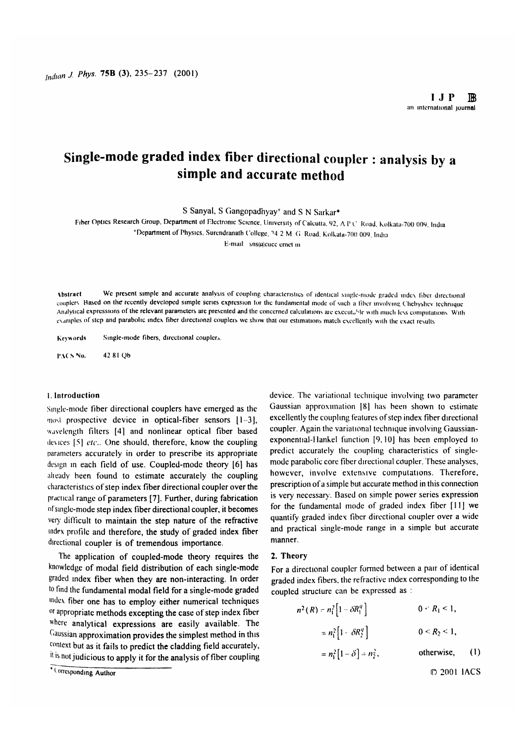# **Single-mode graded index fiber directional coupler : analysis by a simple and accurate method**

**S Sanyal, S Gangopadhyay^ and S N Sarkar\***

Fiber Optics Research Group, Department of Electronic Science, University of Calcuita, 92, A P C. Road, Kolkata-700 009, India

<sup>4</sup>Department of Physics, Surendranath College, <sup>74</sup> 2 M (i Road, Kolkata-700 009, India

 $E$ -mail sns( $a$ )cucc crnet in

Abstract We present simple and accurate analysis of coupling characteristics of identical single-mode graded index fiber directional couplers. Hased on the recently developed simple series expression for the fundamental mode of such a fiber involving Chebyshev technique Analytical expressions of the relevant parameters are presented and the concerned calculations are executeble with much less computations. With examples of step and parabolic index fiber directional couplers we show that our estimations match excellently with the exact results

Keywords Single-mode fibers, directional couplers

PACS No. 42 81 Qb

#### **1. In tro d u c tio n**

Single-mode fiber directional couplers have emerged as the most prospective device in optical-fiber sensors [1-3], **wavelength fillers [4] and nonlinear optical fiber based devices [5]** *c'tc\.* **O ne should, therefore, know the coupling parameters accurately in order to prescribe its appropriate** design in each field of use. Coupled-mode theory [6] has alteady been found to estimate accurately the coupling characteristics of step index fiber directional coupler over the practical range of parameters [7]. Further, during fabrication **of single-mode step index fiber directional coupler, it becomes** very difficult to maintain the step nature of the refractive **index** profile and therefore, the study of graded index fiber directional coupler is of tremendous importance.

The application of coupled-mode theory requires the knowledge of modal field distribution of each single-mode graded index fiber when they are non-interacting. In order to find the fundamental modal field for a single-mode graded **index** fiber one has to employ either numerical techniques <sup>or appropriate methods excepting the case of step index fiber</sup> **where analytical expressions are easily available. The** Gaussian approximation provides the simplest method in this **context but as it fails to predict the cladding field accurately,** it is not judicious to apply it for the analysis of fiber coupling **device. The variational technique involving two parameter Gaussian approximation 18) has been shown to estimate** excellently the coupling features of step index fiber directional **coupler. A gain the variational technique involving Gaussian**exponential-Hankel function [9,10] has been employed to **predict** accurately the coupling characteristics of single**mode parabolic core fiber directional coupler. These analyses,** however, involve extensive computations. Therefore, **prescription of a simple but accurate method in this connection** is very necessary. Based on simple power series expression for the fundamental mode of graded index fiber [11] we **quantify graded index fiber directional coupler over a wide and practical single-mode range in a simple but accurate manner.**

#### 2. Theory

For a directional coupler formed between a pair of identical **graded index fibers, the refractive index corresponding to the coupled structure can be expressed as :**

$$
n^{2}(R) = n_{1}^{2} \left[ 1 - \delta R_{1}^{q} \right]
$$
  
\n
$$
= n_{1}^{2} \left[ 1 - \delta R_{2}^{q} \right]
$$
  
\n
$$
= n_{1}^{2} \left[ 1 - \delta \right] - n_{2}^{2},
$$
  
\n
$$
0 \le R_{2} \le 1,
$$
  
\n
$$
0 \le R_{2} \le 1,
$$
  
\n
$$
0 \le R_{1} \le 1,
$$
  
\n
$$
0 \le R_{1} \le 1,
$$
  
\n
$$
0 \le R_{1} \le 1,
$$
  
\n
$$
0 \le R_{1} \le 1,
$$
  
\n
$$
0 \le R_{1} \le 1,
$$
  
\n
$$
0 \le R_{1} \le 1,
$$
  
\n
$$
0 \le R_{1} \le 1,
$$
  
\n
$$
0 \le R_{1} \le 1,
$$
  
\n
$$
0 \le R_{1} \le 1,
$$
  
\n
$$
0 \le R_{1} \le 1,
$$
  
\n
$$
0 \le R_{1} \le 1,
$$
  
\n
$$
0 \le R_{2} \le 1,
$$
  
\n
$$
0 \le R_{1} \le 1,
$$
  
\n
$$
0 \le R_{2} \le 1,
$$
  
\n
$$
0 \le R_{1} \le 1,
$$
  
\n
$$
0 \le R_{2} \le 1,
$$
  
\n
$$
0 \le R_{3} \le 1,
$$
  
\n
$$
0 \le R_{4} \le 1,
$$
  
\n
$$
0 \le R_{5} \le 1,
$$
  
\n
$$
0 \le R_{6} \le 1,
$$
  
\n
$$
0 \le R_{7} \le 1,
$$
  
\n
$$
0 \le R_{8} \le 1,
$$
  
\n
$$
0 \le R_{9} \le 1,
$$
  
\n
$$
0 \le R_{1} \le 1,
$$
  
\n
$$
0 \le R_{1} \le 1,
$$
  
\n
$$
0 \le R_{2} \le 1,
$$

*O* **2001 lA C S**

<sup>\*</sup> Corresponding Author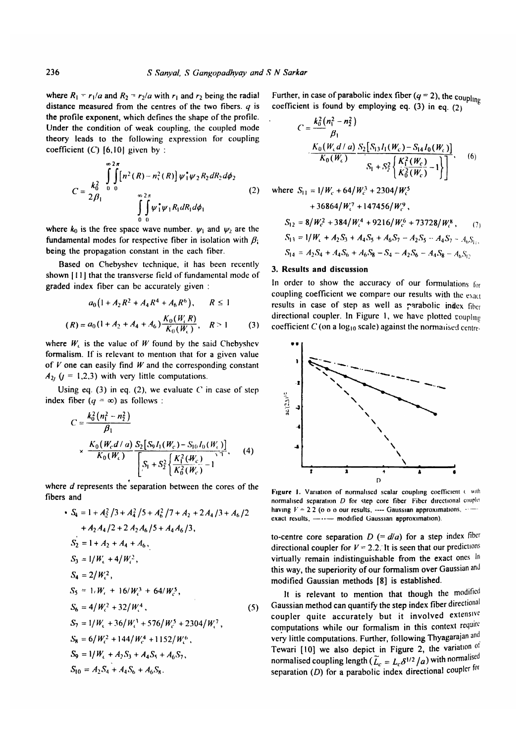where  $R_1 = r_1/a$  and  $R_2 = r_2/a$  with  $r_1$  and  $r_2$  being the radial **distance measured from the centres of the two fibers.** *q* is the profile exponent, which defines the shape of the profile. Under the condition of weak coupling, the coupled mode theory leads to the following expression for coupling coefficient  $(C)$  [6,10] given by :

$$
C = \frac{k_0^2}{2\beta_1} \int_{0}^{\infty} \int_{0}^{2\pi} [n^2 (R) - n_1^2 (R)] \psi_1^* \psi_2 R_2 dR_2 d\phi_2
$$
  

$$
\int_{0}^{\infty} \int_{0}^{2\pi} \psi_1^* \psi_1 R_1 dR_1 d\phi_1
$$
 (2)

where  $k_0$  is the free space wave number.  $\psi_1$  and  $\psi_2$  are the **fundamental modes for respective fiber in isolation with**  $\beta$ **. being the propagation constant in the each fiber.**

**Based on Chebyshev technique, it has been recently** shown [11] that the transverse field of fundamental mode of graded index fiber can be accurately given :

$$
a_0\left(1 + A_2 R^2 + A_4 R^4 + A_6 R^6\right), \qquad R \le 1
$$
  
(R) =  $a_0\left(1 + A_2 + A_4 + A_6\right) \frac{K_0(W_c R)}{K_0(W_c)}, \qquad R > 1$  (3)

where  $W_i$  is the value of *W* found by the said Chebyshev formalism. If is relevant to mention that for a given value of  $V$  one can easily find  $W$  and the corresponding constant  $A_{2}$  ( $j = 1,2,3$ ) with very little computations.

Using eq. (3) in eq. (2), we evaluate  $C$  in case of step **index fiber**  $(q = \infty)$  as follows :

$$
C = \frac{k_0^2 (n_1^2 - n_2^2)}{\beta_1}
$$
  
 
$$
\times \frac{K_0 (W_c d / a)}{K_0 (W_c)} \frac{S_2 [S_0 I_1 (W_c) - S_{10} I_0 (W_c)]}{\left[ S_1 + S_2^2 \left\{ \frac{K_1^2 (W_c)}{K_0^2 (W_c)} - 1 \right\} \right]}
$$
 (4)

where *d* represents the separation between the cores of the **fibers and**

$$
\begin{aligned}\n\bullet \ S_4 &= 1 + A_2^2 / 3 + A_4^2 / 5 + A_6^2 / 7 + A_2 + 2A_4 / 3 + A_6 / 2 \\
&\quad + A_2 A_4 / 2 + 2 A_2 A_6 / 5 + A_4 A_6 / 3, \\
\end{aligned}
$$
\n
$$
S_2 &= 1 + A_2 + A_4 + A_6,
$$
\n
$$
S_3 &= 1/W_c + 4/W_c^2,
$$
\n
$$
S_4 &= 2/W_c^2,
$$
\n
$$
S_5 &= 1, W_c + 16/W_c^3 + 64/W_c^5,
$$
\n
$$
S_6 &= 4/W_c^2 + 32/W_c^4,
$$
\n
$$
S_7 &= 1/W_c + 36/W_c^3 + 576/W_c^5 + 2304/W_c^7,
$$
\n
$$
S_8 &= 6/W_c^2 + 144/W_c^4 + 1152/W_c^6,
$$
\n
$$
S_9 &= 1/W_c + A_2 S_3 + A_4 S_5 + A_6 S_7,
$$
\n
$$
S_{10} &= A_2 S_4 + A_4 S_6 + A_6 S_8.
$$

Further, in case of parabolic index fiber  $(q = 2)$ , the coupling coefficient is found by employing eq.  $(3)$  in eq.  $(2)$ 

$$
C = \frac{k_0^2 (n_1^2 - n_2^2)}{\beta_1}
$$
  

$$
\frac{K_0 (W_c d / a)}{K_0 (W_c)} \frac{S_2 [S_{13} I_1 (W_c) - S_{14} I_0 (W_c)]}{S_1 + S_2^2 \left\{ \frac{K_1^2 (W_c)}{\tilde{K}_0^2 (W_c)} - 1 \right\} }.
$$
 (6)

where 
$$
S_{11} = 1/W_c + 64/W_c^3 + 2304/W_c^5
$$
  
\t $+ 36864/W_c^7 + 147456/W_c^9$ ,  
\t $S_{12} = 8/W_c^2 + 384/W_c^4 + 9216/W_c^6 + 73728/W_c^8$ , (7)  
\t $S_{13} = 1/W_c + A_2S_3 + A_4S_5 + A_6S_7 - A_2S_5 - A_4S_7 - A_0S_{11}$ ,  
\t $S_{14} = A_2S_4 + A_4S_6 + A_6S_8 - S_4 - A_2S_6 - A_4S_8 - A_6S_{12}$ 

### **3. R esults and discussion**

In order to show the accuracy of our formulations for coupling coefficient we compare our results with the exact results in case of step as well as parabolic index fiber **directional coupler. In Figure 1, we have plotted couplmu** coefficient C (on a log<sub>10</sub> scale) against the normalised centre-



Figure 1. Variation of normalised scalar coupling coefficient  $C$  with normalised separation *D* for step core fiber Fiber directional couplet having  $V = 22$  (o o o our results, ---- Gaussian approximations,  $\cdots$ ) exact results,  $-\cdots$  modified Gaussian approximation).

**to-centre core separation**  $D$  (=  $d/a$ ) for a step index fiber directional coupler for  $V = 2.2$ . It is seen that our predictions virtually remain indistinguishable from the exact ones In this way, the superiority of our formalism over Gaussian and **m od ified Gaussian methods [8 ] is established.**

It is relevant to mention that though the modified **Gaussian m ethod can quantify the step index fiber directional** coupler quite accurately but it involved extensive **com putations w h ile our form alism in this context require** very little computations. Further, following Thyagarajan and Tewari [10] we also depict in Figure 2, the variation of **normalised coupling length**  $(\widetilde{L}_c = L_c \delta^{1/2} / a)$  with normalised **separation** (D) **for a parabolic index directional** coupler for